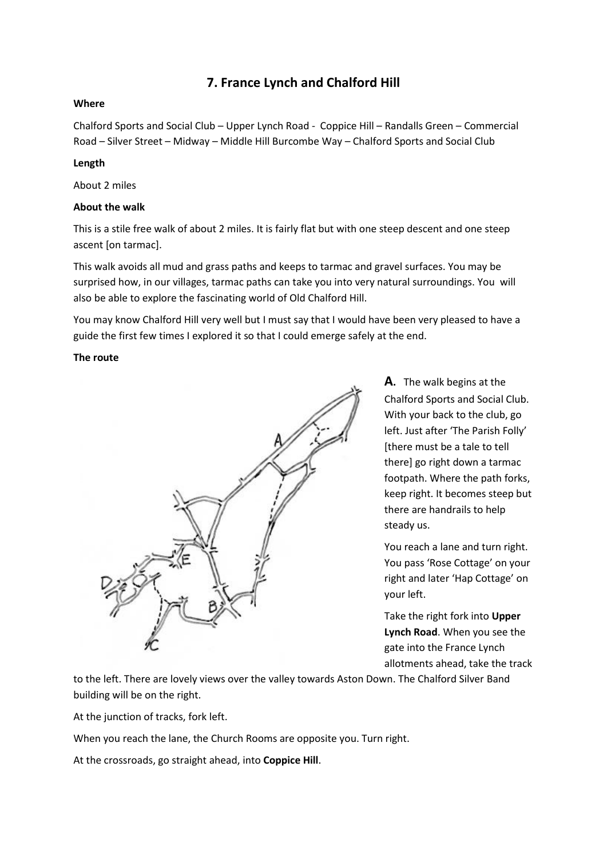# **7. France Lynch and Chalford Hill**

#### **Where**

Chalford Sports and Social Club – Upper Lynch Road - Coppice Hill – Randalls Green – Commercial Road – Silver Street – Midway – Middle Hill Burcombe Way – Chalford Sports and Social Club

#### **Length**

About 2 miles

#### **About the walk**

This is a stile free walk of about 2 miles. It is fairly flat but with one steep descent and one steep ascent [on tarmac].

This walk avoids all mud and grass paths and keeps to tarmac and gravel surfaces. You may be surprised how, in our villages, tarmac paths can take you into very natural surroundings. You will also be able to explore the fascinating world of Old Chalford Hill.

You may know Chalford Hill very well but I must say that I would have been very pleased to have a guide the first few times I explored it so that I could emerge safely at the end.

#### **The route**



**A.** The walk begins at the Chalford Sports and Social Club. With your back to the club, go left. Just after 'The Parish Folly' [there must be a tale to tell there] go right down a tarmac footpath. Where the path forks, keep right. It becomes steep but there are handrails to help steady us.

You reach a lane and turn right. You pass 'Rose Cottage' on your right and later 'Hap Cottage' on your left.

Take the right fork into **Upper Lynch Road**. When you see the gate into the France Lynch allotments ahead, take the track

to the left. There are lovely views over the valley towards Aston Down. The Chalford Silver Band building will be on the right.

At the junction of tracks, fork left.

When you reach the lane, the Church Rooms are opposite you. Turn right.

At the crossroads, go straight ahead, into **Coppice Hill**.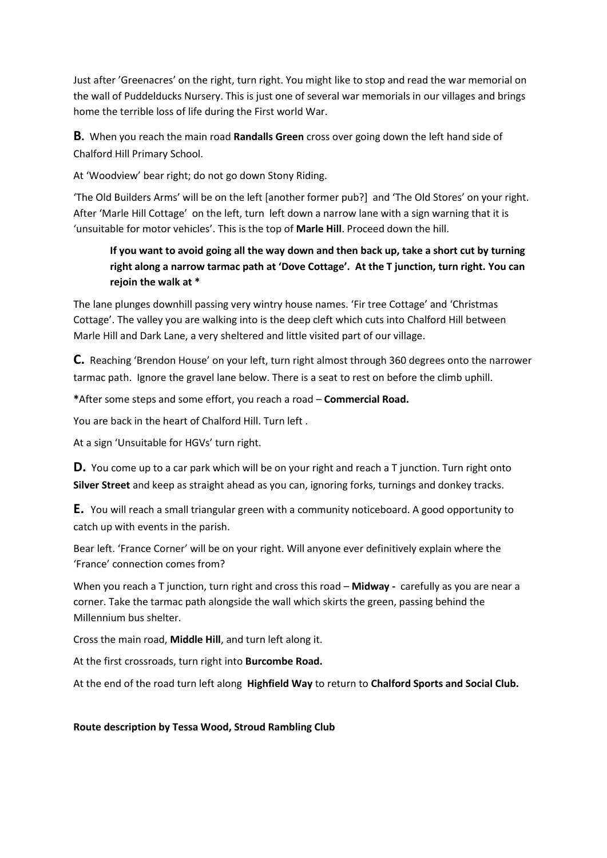Just after 'Greenacres' on the right, turn right. You might like to stop and read the war memorial on the wall of Puddelducks Nursery. This is just one of several war memorials in our villages and brings home the terrible loss of life during the First world War.

**B.** When you reach the main road **Randalls Green** cross over going down the left hand side of Chalford Hill Primary School.

At 'Woodview' bear right; do not go down Stony Riding.

'The Old Builders Arms' will be on the left [another former pub?] and 'The Old Stores' on your right. After 'Marle Hill Cottage' on the left, turn left down a narrow lane with a sign warning that it is 'unsuitable for motor vehicles'. This is the top of **Marle Hill**. Proceed down the hill.

## **If you want to avoid going all the way down and then back up, take a short cut by turning right along a narrow tarmac path at 'Dove Cottage'. At the T junction, turn right. You can rejoin the walk at \***

The lane plunges downhill passing very wintry house names. 'Fir tree Cottage' and 'Christmas Cottage'. The valley you are walking into is the deep cleft which cuts into Chalford Hill between Marle Hill and Dark Lane, a very sheltered and little visited part of our village.

**C.** Reaching 'Brendon House' on your left, turn right almost through 360 degrees onto the narrower tarmac path. Ignore the gravel lane below. There is a seat to rest on before the climb uphill.

**\***After some steps and some effort, you reach a road – **Commercial Road.**

You are back in the heart of Chalford Hill. Turn left .

At a sign 'Unsuitable for HGVs' turn right.

**D.** You come up to a car park which will be on your right and reach a T junction. Turn right onto **Silver Street** and keep as straight ahead as you can, ignoring forks, turnings and donkey tracks.

**E.** You will reach a small triangular green with a community noticeboard. A good opportunity to catch up with events in the parish.

Bear left. 'France Corner' will be on your right. Will anyone ever definitively explain where the 'France' connection comes from?

When you reach a T junction, turn right and cross this road – **Midway -** carefully as you are near a corner. Take the tarmac path alongside the wall which skirts the green, passing behind the Millennium bus shelter.

Cross the main road, **Middle Hill**, and turn left along it.

At the first crossroads, turn right into **Burcombe Road.**

At the end of the road turn left along **Highfield Way** to return to **Chalford Sports and Social Club.**

### **Route description by Tessa Wood, Stroud Rambling Club**